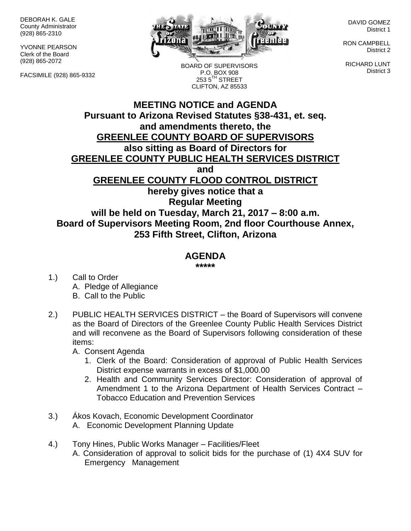DEBORAH K. GALE County Administrator (928) 865-2310

YVONNE PEARSON Clerk of the Board (928) 865-2072

FACSIMILE (928) 865-9332



BOARD OF SUPERVISORS P.O. BOX 908 253 5<sup>TH</sup> STREET CLIFTON, AZ 85533

DAVID GOMEZ District 1

RON CAMPBELL District 2

RICHARD LUNT District 3

## **MEETING NOTICE and AGENDA Pursuant to Arizona Revised Statutes §38-431, et. seq. and amendments thereto, the GREENLEE COUNTY BOARD OF SUPERVISORS also sitting as Board of Directors for GREENLEE COUNTY PUBLIC HEALTH SERVICES DISTRICT and GREENLEE COUNTY FLOOD CONTROL DISTRICT hereby gives notice that a Regular Meeting will be held on Tuesday, March 21, 2017 – 8:00 a.m. Board of Supervisors Meeting Room, 2nd floor Courthouse Annex, 253 Fifth Street, Clifton, Arizona**

## **AGENDA**

**\*\*\*\*\***

- 1.) Call to Order A. Pledge of Allegiance B. Call to the Public
- 2.) PUBLIC HEALTH SERVICES DISTRICT the Board of Supervisors will convene as the Board of Directors of the Greenlee County Public Health Services District and will reconvene as the Board of Supervisors following consideration of these items:
	- A. Consent Agenda
		- 1. Clerk of the Board: Consideration of approval of Public Health Services District expense warrants in excess of \$1,000.00
		- 2. Health and Community Services Director: Consideration of approval of Amendment 1 to the Arizona Department of Health Services Contract – Tobacco Education and Prevention Services
- 3.) Ákos Kovach, Economic Development Coordinator A. Economic Development Planning Update
- 4.) Tony Hines, Public Works Manager Facilities/Fleet A. Consideration of approval to solicit bids for the purchase of (1) 4X4 SUV for Emergency Management